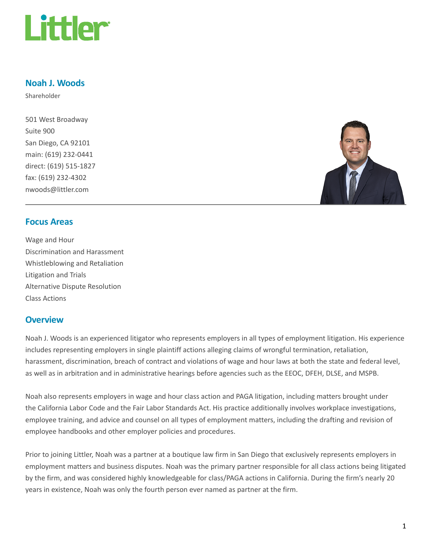

#### Noah J. Woods

Shareholder

501 West Broadway Suite 900 San Diego, CA 92101 main: (619) 232-0441 direct: (619) 515-1827 fax: (619) 232-4302 nwoods@littler.com



#### Focus Areas

Wage and Hour Discrimination and Harassment Whistleblowing and Retaliation Litigation and Trials Alternative Dispute Resolution Class Actions

### **Overview**

Noah J. Woods is an experienced litigator who represents employers in all types of employment litigation. His experience includes representing employers in single plaintiff actions alleging claims of wrongful termination, retaliation, harassment, discrimination, breach of contract and violations of wage and hour laws at both the state and federal level, as well as in arbitration and in administrative hearings before agencies such as the EEOC, DFEH, DLSE, and MSPB.

Noah also represents employers in wage and hour class action and PAGA litigation, including matters brought under the California Labor Code and the Fair Labor Standards Act. His practice additionally involves workplace investigations, employee training, and advice and counsel on all types of employment matters, including the drafting and revision of employee handbooks and other employer policies and procedures.

Prior to joining Littler, Noah was a partner at a boutique law firm in San Diego that exclusively represents employers in employment matters and business disputes. Noah was the primary partner responsible for all class actions being litigated by the firm, and was considered highly knowledgeable for class/PAGA actions in California. During the firm's nearly 20 years in existence, Noah was only the fourth person ever named as partner at the firm.